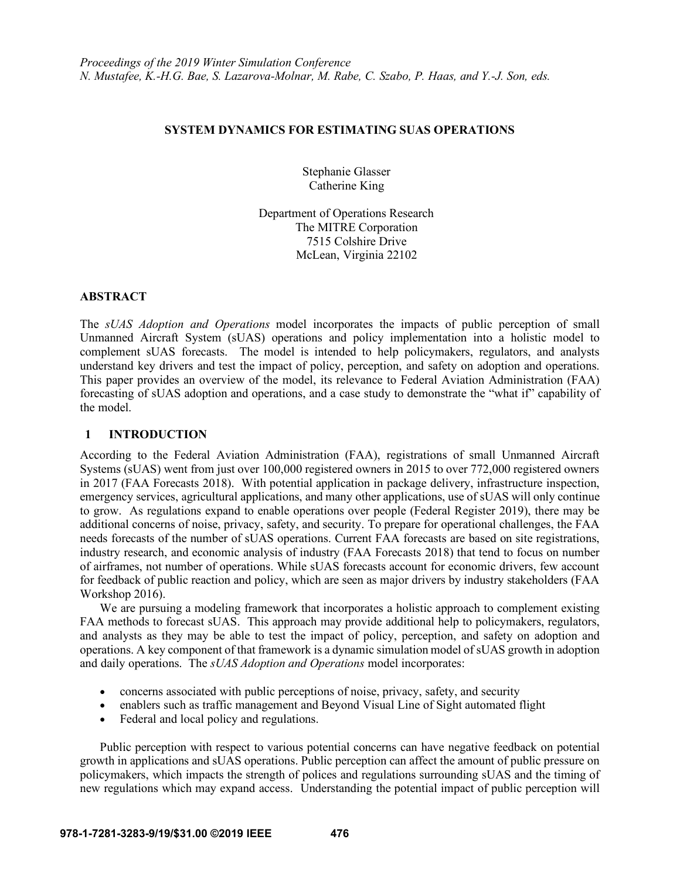## **SYSTEM DYNAMICS FOR ESTIMATING SUAS OPERATIONS**

Stephanie Glasser Catherine King

Department of Operations Research The MITRE Corporation 7515 Colshire Drive McLean, Virginia 22102

## **ABSTRACT**

The *sUAS Adoption and Operations* model incorporates the impacts of public perception of small Unmanned Aircraft System (sUAS) operations and policy implementation into a holistic model to complement sUAS forecasts. The model is intended to help policymakers, regulators, and analysts understand key drivers and test the impact of policy, perception, and safety on adoption and operations. This paper provides an overview of the model, its relevance to Federal Aviation Administration (FAA) forecasting of sUAS adoption and operations, and a case study to demonstrate the "what if" capability of the model.

## **1 INTRODUCTION**

According to the Federal Aviation Administration (FAA), registrations of small Unmanned Aircraft Systems (sUAS) went from just over 100,000 registered owners in 2015 to over 772,000 registered owners in 2017 (FAA Forecasts 2018). With potential application in package delivery, infrastructure inspection, emergency services, agricultural applications, and many other applications, use of sUAS will only continue to grow. As regulations expand to enable operations over people (Federal Register 2019), there may be additional concerns of noise, privacy, safety, and security. To prepare for operational challenges, the FAA needs forecasts of the number of sUAS operations. Current FAA forecasts are based on site registrations, industry research, and economic analysis of industry (FAA Forecasts 2018) that tend to focus on number of airframes, not number of operations. While sUAS forecasts account for economic drivers, few account for feedback of public reaction and policy, which are seen as major drivers by industry stakeholders (FAA Workshop 2016).

We are pursuing a modeling framework that incorporates a holistic approach to complement existing FAA methods to forecast sUAS. This approach may provide additional help to policymakers, regulators, and analysts as they may be able to test the impact of policy, perception, and safety on adoption and operations. A key component of that framework is a dynamic simulation model of sUAS growth in adoption and daily operations. The *sUAS Adoption and Operations* model incorporates:

- concerns associated with public perceptions of noise, privacy, safety, and security
- enablers such as traffic management and Beyond Visual Line of Sight automated flight
- Federal and local policy and regulations.

Public perception with respect to various potential concerns can have negative feedback on potential growth in applications and sUAS operations. Public perception can affect the amount of public pressure on policymakers, which impacts the strength of polices and regulations surrounding sUAS and the timing of new regulations which may expand access. Understanding the potential impact of public perception will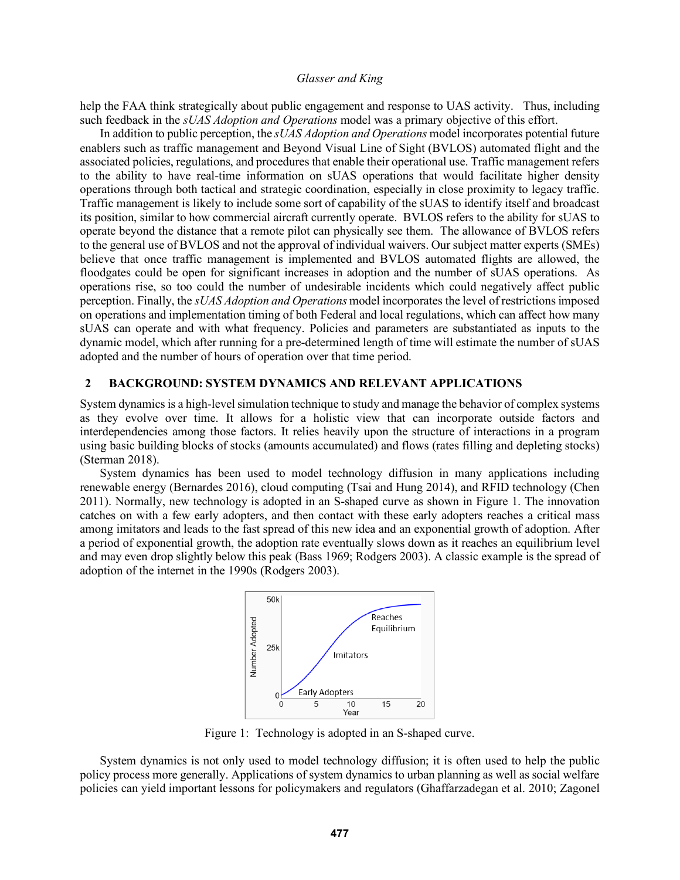help the FAA think strategically about public engagement and response to UAS activity. Thus, including such feedback in the *sUAS Adoption and Operations* model was a primary objective of this effort.

In addition to public perception, the *sUAS Adoption and Operations* model incorporates potential future enablers such as traffic management and Beyond Visual Line of Sight (BVLOS) automated flight and the associated policies, regulations, and procedures that enable their operational use. Traffic management refers to the ability to have real-time information on sUAS operations that would facilitate higher density operations through both tactical and strategic coordination, especially in close proximity to legacy traffic. Traffic management is likely to include some sort of capability of the sUAS to identify itself and broadcast its position, similar to how commercial aircraft currently operate. BVLOS refers to the ability for sUAS to operate beyond the distance that a remote pilot can physically see them. The allowance of BVLOS refers to the general use of BVLOS and not the approval of individual waivers. Our subject matter experts (SMEs) believe that once traffic management is implemented and BVLOS automated flights are allowed, the floodgates could be open for significant increases in adoption and the number of sUAS operations. As operations rise, so too could the number of undesirable incidents which could negatively affect public perception. Finally, the *sUAS Adoption and Operations* model incorporates the level of restrictions imposed on operations and implementation timing of both Federal and local regulations, which can affect how many sUAS can operate and with what frequency. Policies and parameters are substantiated as inputs to the dynamic model, which after running for a pre-determined length of time will estimate the number of sUAS adopted and the number of hours of operation over that time period.

#### **2 BACKGROUND: SYSTEM DYNAMICS AND RELEVANT APPLICATIONS**

System dynamics is a high-level simulation technique to study and manage the behavior of complex systems as they evolve over time. It allows for a holistic view that can incorporate outside factors and interdependencies among those factors. It relies heavily upon the structure of interactions in a program using basic building blocks of stocks (amounts accumulated) and flows (rates filling and depleting stocks) (Sterman 2018).

System dynamics has been used to model technology diffusion in many applications including renewable energy (Bernardes 2016), cloud computing (Tsai and Hung 2014), and RFID technology (Chen 2011). Normally, new technology is adopted in an S-shaped curve as shown in Figure 1. The innovation catches on with a few early adopters, and then contact with these early adopters reaches a critical mass among imitators and leads to the fast spread of this new idea and an exponential growth of adoption. After a period of exponential growth, the adoption rate eventually slows down as it reaches an equilibrium level and may even drop slightly below this peak (Bass 1969; Rodgers 2003). A classic example is the spread of adoption of the internet in the 1990s (Rodgers 2003).



Figure 1: Technology is adopted in an S-shaped curve.

System dynamics is not only used to model technology diffusion; it is often used to help the public policy process more generally. Applications of system dynamics to urban planning as well as social welfare policies can yield important lessons for policymakers and regulators (Ghaffarzadegan et al. 2010; Zagonel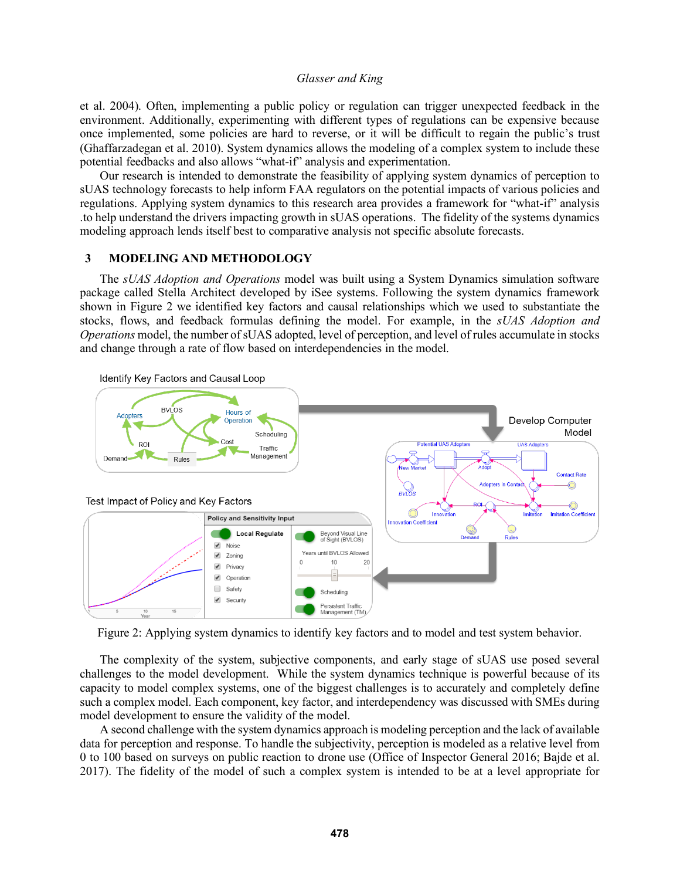et al. 2004). Often, implementing a public policy or regulation can trigger unexpected feedback in the environment. Additionally, experimenting with different types of regulations can be expensive because once implemented, some policies are hard to reverse, or it will be difficult to regain the public's trust (Ghaffarzadegan et al. 2010). System dynamics allows the modeling of a complex system to include these potential feedbacks and also allows "what-if" analysis and experimentation.

Our research is intended to demonstrate the feasibility of applying system dynamics of perception to sUAS technology forecasts to help inform FAA regulators on the potential impacts of various policies and regulations. Applying system dynamics to this research area provides a framework for "what-if" analysis .to help understand the drivers impacting growth in sUAS operations. The fidelity of the systems dynamics modeling approach lends itself best to comparative analysis not specific absolute forecasts.

#### **3 MODELING AND METHODOLOGY**

The *sUAS Adoption and Operations* model was built using a System Dynamics simulation software package called Stella Architect developed by iSee systems. Following the system dynamics framework shown in Figure 2 we identified key factors and causal relationships which we used to substantiate the stocks, flows, and feedback formulas defining the model. For example, in the *sUAS Adoption and Operations* model, the number of sUAS adopted, level of perception, and level of rules accumulate in stocks and change through a rate of flow based on interdependencies in the model.



Figure 2: Applying system dynamics to identify key factors and to model and test system behavior.

The complexity of the system, subjective components, and early stage of sUAS use posed several challenges to the model development. While the system dynamics technique is powerful because of its capacity to model complex systems, one of the biggest challenges is to accurately and completely define such a complex model. Each component, key factor, and interdependency was discussed with SMEs during model development to ensure the validity of the model.

A second challenge with the system dynamics approach is modeling perception and the lack of available data for perception and response. To handle the subjectivity, perception is modeled as a relative level from 0 to 100 based on surveys on public reaction to drone use (Office of Inspector General 2016; Bajde et al. 2017). The fidelity of the model of such a complex system is intended to be at a level appropriate for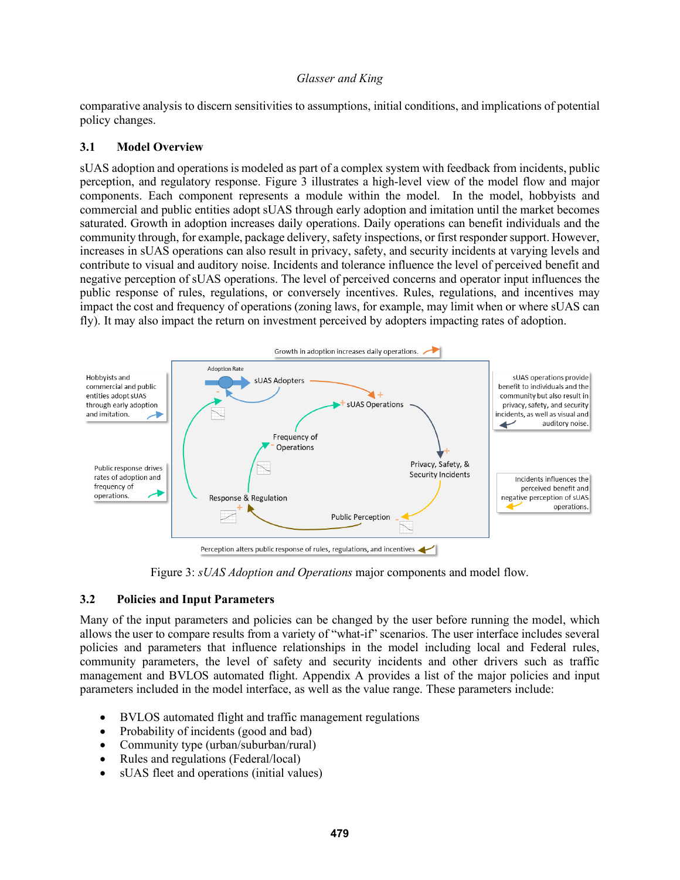comparative analysis to discern sensitivities to assumptions, initial conditions, and implications of potential policy changes.

## **3.1 Model Overview**

sUAS adoption and operations is modeled as part of a complex system with feedback from incidents, public perception, and regulatory response. Figure 3 illustrates a high-level view of the model flow and major components. Each component represents a module within the model. In the model, hobbyists and commercial and public entities adopt sUAS through early adoption and imitation until the market becomes saturated. Growth in adoption increases daily operations. Daily operations can benefit individuals and the community through, for example, package delivery, safety inspections, or first responder support. However, increases in sUAS operations can also result in privacy, safety, and security incidents at varying levels and contribute to visual and auditory noise. Incidents and tolerance influence the level of perceived benefit and negative perception of sUAS operations. The level of perceived concerns and operator input influences the public response of rules, regulations, or conversely incentives. Rules, regulations, and incentives may impact the cost and frequency of operations (zoning laws, for example, may limit when or where sUAS can fly). It may also impact the return on investment perceived by adopters impacting rates of adoption.



Figure 3: *sUAS Adoption and Operations* major components and model flow.

## **3.2 Policies and Input Parameters**

Many of the input parameters and policies can be changed by the user before running the model, which allows the user to compare results from a variety of "what-if" scenarios. The user interface includes several policies and parameters that influence relationships in the model including local and Federal rules, community parameters, the level of safety and security incidents and other drivers such as traffic management and BVLOS automated flight. Appendix A provides a list of the major policies and input parameters included in the model interface, as well as the value range. These parameters include:

- BVLOS automated flight and traffic management regulations
- Probability of incidents (good and bad)
- Community type (urban/suburban/rural)
- Rules and regulations (Federal/local)
- sUAS fleet and operations (initial values)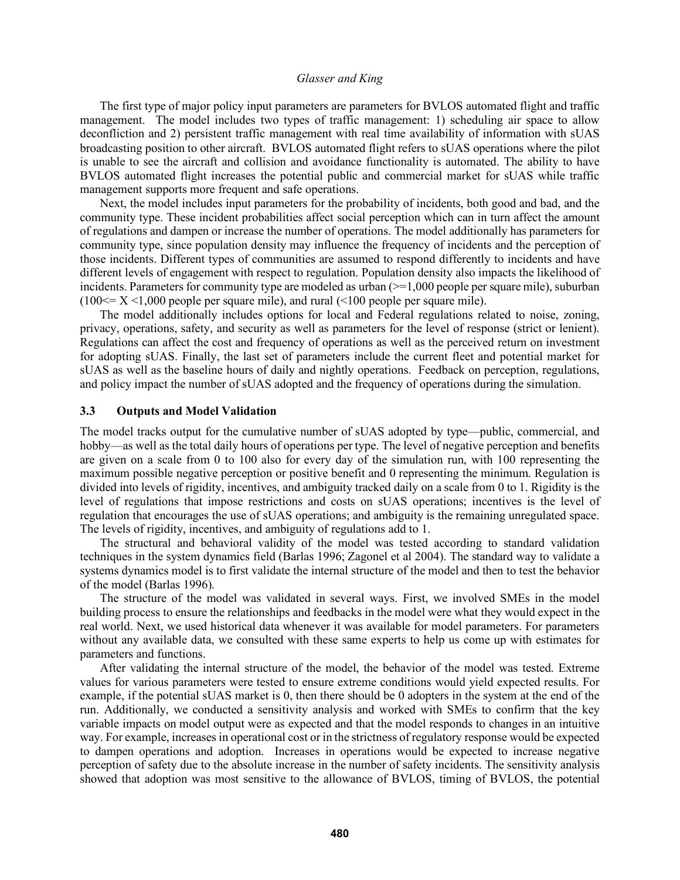The first type of major policy input parameters are parameters for BVLOS automated flight and traffic management. The model includes two types of traffic management: 1) scheduling air space to allow deconfliction and 2) persistent traffic management with real time availability of information with sUAS broadcasting position to other aircraft. BVLOS automated flight refers to sUAS operations where the pilot is unable to see the aircraft and collision and avoidance functionality is automated. The ability to have BVLOS automated flight increases the potential public and commercial market for sUAS while traffic management supports more frequent and safe operations.

Next, the model includes input parameters for the probability of incidents, both good and bad, and the community type. These incident probabilities affect social perception which can in turn affect the amount of regulations and dampen or increase the number of operations. The model additionally has parameters for community type, since population density may influence the frequency of incidents and the perception of those incidents. Different types of communities are assumed to respond differently to incidents and have different levels of engagement with respect to regulation. Population density also impacts the likelihood of incidents. Parameters for community type are modeled as urban  $(>=1,000$  people per square mile), suburban  $(100 \le X \le 1,000$  people per square mile), and rural  $(100$  people per square mile).

The model additionally includes options for local and Federal regulations related to noise, zoning, privacy, operations, safety, and security as well as parameters for the level of response (strict or lenient). Regulations can affect the cost and frequency of operations as well as the perceived return on investment for adopting sUAS. Finally, the last set of parameters include the current fleet and potential market for sUAS as well as the baseline hours of daily and nightly operations. Feedback on perception, regulations, and policy impact the number of sUAS adopted and the frequency of operations during the simulation.

## **3.3 Outputs and Model Validation**

The model tracks output for the cumulative number of sUAS adopted by type—public, commercial, and hobby—as well as the total daily hours of operations per type. The level of negative perception and benefits are given on a scale from 0 to 100 also for every day of the simulation run, with 100 representing the maximum possible negative perception or positive benefit and 0 representing the minimum. Regulation is divided into levels of rigidity, incentives, and ambiguity tracked daily on a scale from 0 to 1. Rigidity is the level of regulations that impose restrictions and costs on sUAS operations; incentives is the level of regulation that encourages the use of sUAS operations; and ambiguity is the remaining unregulated space. The levels of rigidity, incentives, and ambiguity of regulations add to 1.

The structural and behavioral validity of the model was tested according to standard validation techniques in the system dynamics field (Barlas 1996; Zagonel et al 2004). The standard way to validate a systems dynamics model is to first validate the internal structure of the model and then to test the behavior of the model (Barlas 1996).

The structure of the model was validated in several ways. First, we involved SMEs in the model building process to ensure the relationships and feedbacks in the model were what they would expect in the real world. Next, we used historical data whenever it was available for model parameters. For parameters without any available data, we consulted with these same experts to help us come up with estimates for parameters and functions.

After validating the internal structure of the model, the behavior of the model was tested. Extreme values for various parameters were tested to ensure extreme conditions would yield expected results. For example, if the potential sUAS market is 0, then there should be 0 adopters in the system at the end of the run. Additionally, we conducted a sensitivity analysis and worked with SMEs to confirm that the key variable impacts on model output were as expected and that the model responds to changes in an intuitive way. For example, increases in operational cost or in the strictness of regulatory response would be expected to dampen operations and adoption. Increases in operations would be expected to increase negative perception of safety due to the absolute increase in the number of safety incidents. The sensitivity analysis showed that adoption was most sensitive to the allowance of BVLOS, timing of BVLOS, the potential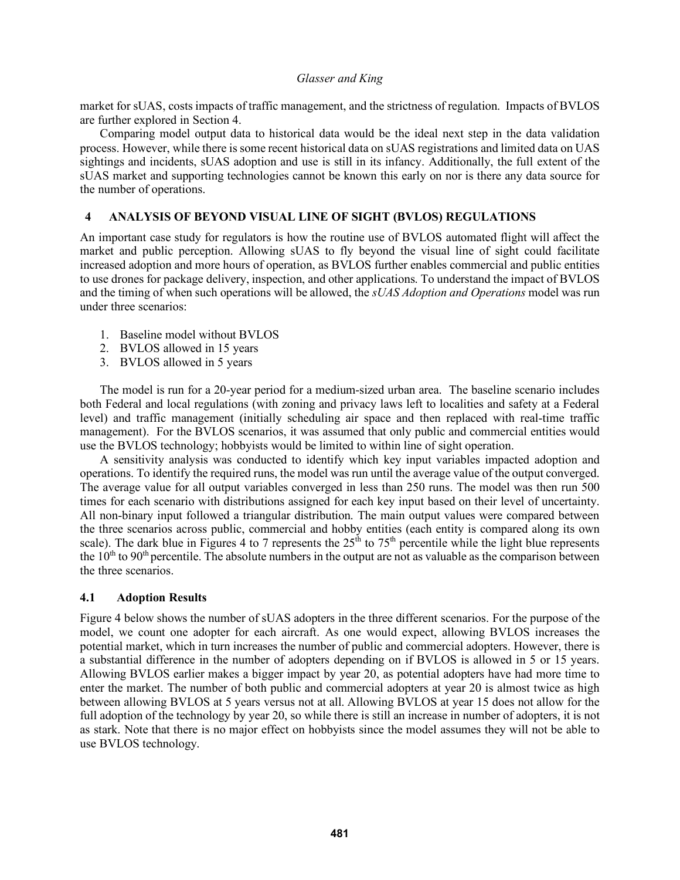market for sUAS, costs impacts of traffic management, and the strictness of regulation. Impacts of BVLOS are further explored in Section 4.

Comparing model output data to historical data would be the ideal next step in the data validation process. However, while there is some recent historical data on sUAS registrations and limited data on UAS sightings and incidents, sUAS adoption and use is still in its infancy. Additionally, the full extent of the sUAS market and supporting technologies cannot be known this early on nor is there any data source for the number of operations.

## **4 ANALYSIS OF BEYOND VISUAL LINE OF SIGHT (BVLOS) REGULATIONS**

An important case study for regulators is how the routine use of BVLOS automated flight will affect the market and public perception. Allowing sUAS to fly beyond the visual line of sight could facilitate increased adoption and more hours of operation, as BVLOS further enables commercial and public entities to use drones for package delivery, inspection, and other applications. To understand the impact of BVLOS and the timing of when such operations will be allowed, the *sUAS Adoption and Operations* model was run under three scenarios:

- 1. Baseline model without BVLOS
- 2. BVLOS allowed in 15 years
- 3. BVLOS allowed in 5 years

The model is run for a 20-year period for a medium-sized urban area. The baseline scenario includes both Federal and local regulations (with zoning and privacy laws left to localities and safety at a Federal level) and traffic management (initially scheduling air space and then replaced with real-time traffic management). For the BVLOS scenarios, it was assumed that only public and commercial entities would use the BVLOS technology; hobbyists would be limited to within line of sight operation.

A sensitivity analysis was conducted to identify which key input variables impacted adoption and operations. To identify the required runs, the model was run until the average value of the output converged. The average value for all output variables converged in less than 250 runs. The model was then run 500 times for each scenario with distributions assigned for each key input based on their level of uncertainty. All non-binary input followed a triangular distribution. The main output values were compared between the three scenarios across public, commercial and hobby entities (each entity is compared along its own scale). The dark blue in Figures 4 to 7 represents the  $25<sup>th</sup>$  to 75<sup>th</sup> percentile while the light blue represents the  $10<sup>th</sup>$  to  $90<sup>th</sup>$  percentile. The absolute numbers in the output are not as valuable as the comparison between the three scenarios.

#### **4.1 Adoption Results**

Figure 4 below shows the number of sUAS adopters in the three different scenarios. For the purpose of the model, we count one adopter for each aircraft. As one would expect, allowing BVLOS increases the potential market, which in turn increases the number of public and commercial adopters. However, there is a substantial difference in the number of adopters depending on if BVLOS is allowed in 5 or 15 years. Allowing BVLOS earlier makes a bigger impact by year 20, as potential adopters have had more time to enter the market. The number of both public and commercial adopters at year 20 is almost twice as high between allowing BVLOS at 5 years versus not at all. Allowing BVLOS at year 15 does not allow for the full adoption of the technology by year 20, so while there is still an increase in number of adopters, it is not as stark. Note that there is no major effect on hobbyists since the model assumes they will not be able to use BVLOS technology.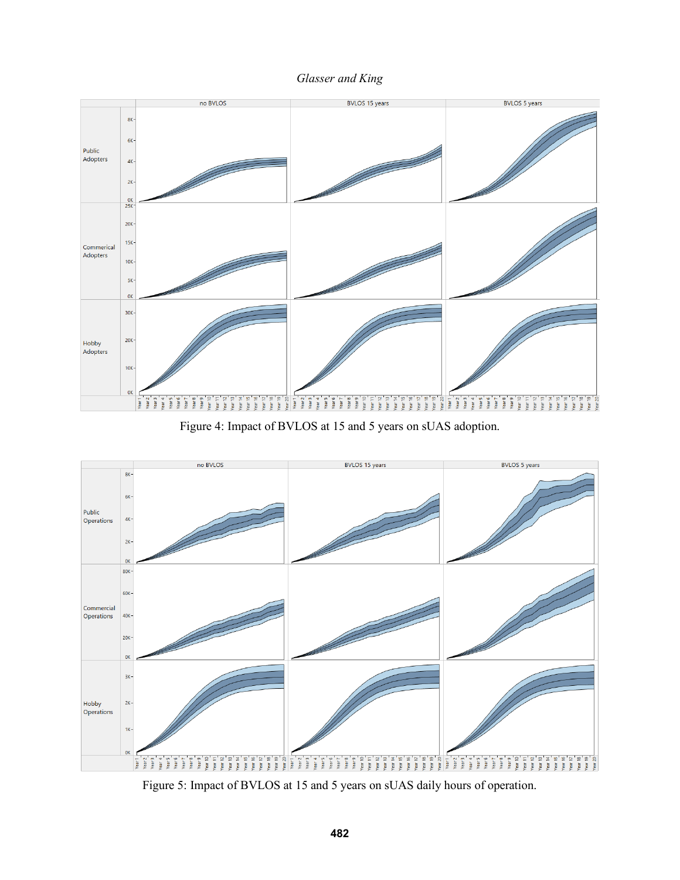



Figure 4: Impact of BVLOS at 15 and 5 years on sUAS adoption.



Figure 5: Impact of BVLOS at 15 and 5 years on sUAS daily hours of operation.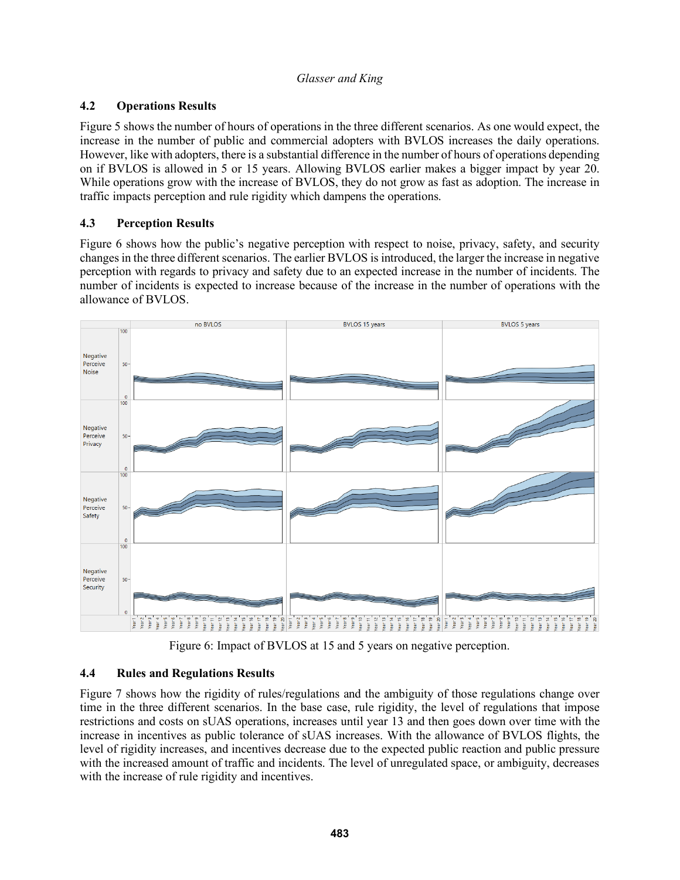# **4.2 Operations Results**

Figure 5 shows the number of hours of operations in the three different scenarios. As one would expect, the increase in the number of public and commercial adopters with BVLOS increases the daily operations. However, like with adopters, there is a substantial difference in the number of hours of operations depending on if BVLOS is allowed in 5 or 15 years. Allowing BVLOS earlier makes a bigger impact by year 20. While operations grow with the increase of BVLOS, they do not grow as fast as adoption. The increase in traffic impacts perception and rule rigidity which dampens the operations.

# **4.3 Perception Results**

Figure 6 shows how the public's negative perception with respect to noise, privacy, safety, and security changes in the three different scenarios. The earlier BVLOS is introduced, the larger the increase in negative perception with regards to privacy and safety due to an expected increase in the number of incidents. The number of incidents is expected to increase because of the increase in the number of operations with the allowance of BVLOS.



Figure 6: Impact of BVLOS at 15 and 5 years on negative perception.

## **4.4 Rules and Regulations Results**

Figure 7 shows how the rigidity of rules/regulations and the ambiguity of those regulations change over time in the three different scenarios. In the base case, rule rigidity, the level of regulations that impose restrictions and costs on sUAS operations, increases until year 13 and then goes down over time with the increase in incentives as public tolerance of sUAS increases. With the allowance of BVLOS flights, the level of rigidity increases, and incentives decrease due to the expected public reaction and public pressure with the increased amount of traffic and incidents. The level of unregulated space, or ambiguity, decreases with the increase of rule rigidity and incentives.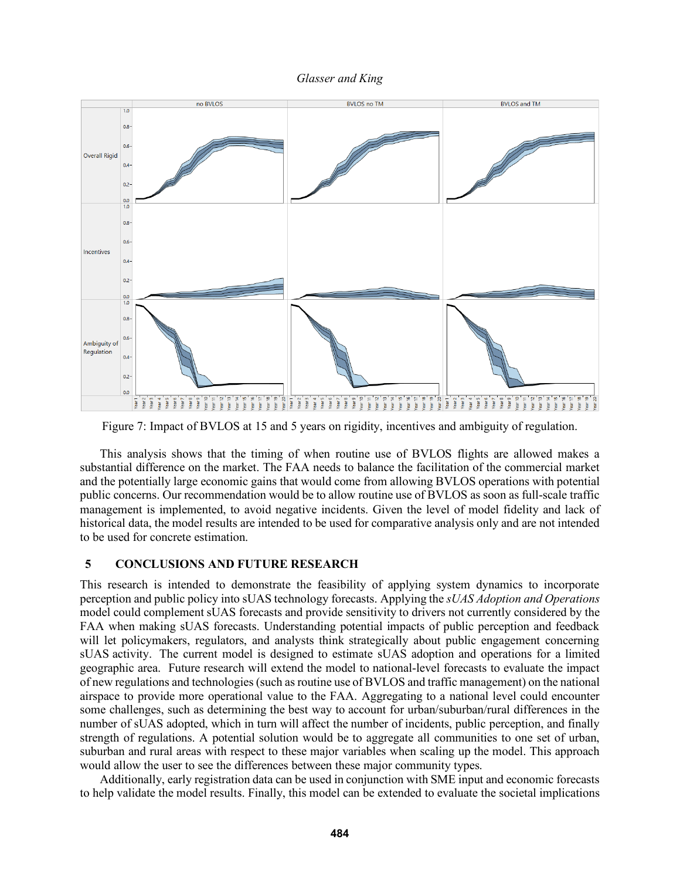



Figure 7: Impact of BVLOS at 15 and 5 years on rigidity, incentives and ambiguity of regulation.

This analysis shows that the timing of when routine use of BVLOS flights are allowed makes a substantial difference on the market. The FAA needs to balance the facilitation of the commercial market and the potentially large economic gains that would come from allowing BVLOS operations with potential public concerns. Our recommendation would be to allow routine use of BVLOS as soon as full-scale traffic management is implemented, to avoid negative incidents. Given the level of model fidelity and lack of historical data, the model results are intended to be used for comparative analysis only and are not intended to be used for concrete estimation.

## **5 CONCLUSIONS AND FUTURE RESEARCH**

This research is intended to demonstrate the feasibility of applying system dynamics to incorporate perception and public policy into sUAS technology forecasts. Applying the *sUAS Adoption and Operations* model could complement sUAS forecasts and provide sensitivity to drivers not currently considered by the FAA when making sUAS forecasts. Understanding potential impacts of public perception and feedback will let policymakers, regulators, and analysts think strategically about public engagement concerning sUAS activity. The current model is designed to estimate sUAS adoption and operations for a limited geographic area. Future research will extend the model to national-level forecasts to evaluate the impact of new regulations and technologies (such as routine use of BVLOS and traffic management) on the national airspace to provide more operational value to the FAA. Aggregating to a national level could encounter some challenges, such as determining the best way to account for urban/suburban/rural differences in the number of sUAS adopted, which in turn will affect the number of incidents, public perception, and finally strength of regulations. A potential solution would be to aggregate all communities to one set of urban, suburban and rural areas with respect to these major variables when scaling up the model. This approach would allow the user to see the differences between these major community types.

Additionally, early registration data can be used in conjunction with SME input and economic forecasts to help validate the model results. Finally, this model can be extended to evaluate the societal implications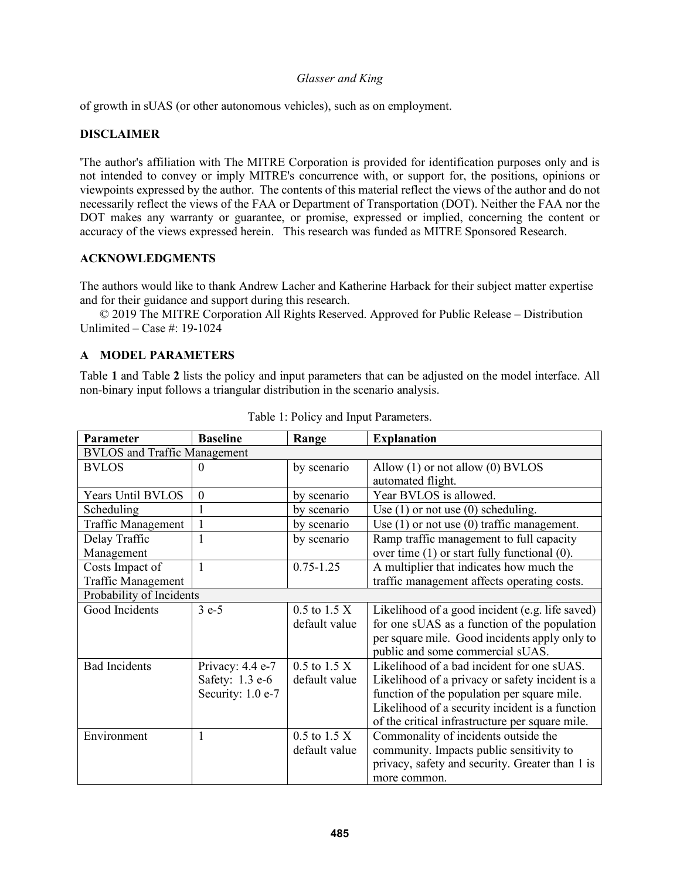of growth in sUAS (or other autonomous vehicles), such as on employment.

## **DISCLAIMER**

'The author's affiliation with The MITRE Corporation is provided for identification purposes only and is not intended to convey or imply MITRE's concurrence with, or support for, the positions, opinions or viewpoints expressed by the author. The contents of this material reflect the views of the author and do not necessarily reflect the views of the FAA or Department of Transportation (DOT). Neither the FAA nor the DOT makes any warranty or guarantee, or promise, expressed or implied, concerning the content or accuracy of the views expressed herein. This research was funded as MITRE Sponsored Research.

## **ACKNOWLEDGMENTS**

The authors would like to thank Andrew Lacher and Katherine Harback for their subject matter expertise and for their guidance and support during this research.

© 2019 The MITRE Corporation All Rights Reserved. Approved for Public Release – Distribution Unlimited – Case #: 19-1024

## **A MODEL PARAMETERS**

Table **1** and Table **2** lists the policy and input parameters that can be adjusted on the model interface. All non-binary input follows a triangular distribution in the scenario analysis.

| Parameter                           | <b>Baseline</b>   | Range            | <b>Explanation</b>                                |  |  |
|-------------------------------------|-------------------|------------------|---------------------------------------------------|--|--|
| <b>BVLOS</b> and Traffic Management |                   |                  |                                                   |  |  |
| <b>BVLOS</b>                        | $\theta$          | by scenario      | Allow $(1)$ or not allow $(0)$ BVLOS              |  |  |
|                                     |                   |                  | automated flight.                                 |  |  |
| <b>Years Until BVLOS</b>            | $\boldsymbol{0}$  | by scenario      | Year BVLOS is allowed.                            |  |  |
| Scheduling                          |                   | by scenario      | Use $(1)$ or not use $(0)$ scheduling.            |  |  |
| <b>Traffic Management</b>           |                   | by scenario      | Use $(1)$ or not use $(0)$ traffic management.    |  |  |
| Delay Traffic                       |                   | by scenario      | Ramp traffic management to full capacity          |  |  |
| Management                          |                   |                  | over time $(1)$ or start fully functional $(0)$ . |  |  |
| Costs Impact of                     | $\overline{1}$    | $0.75 - 1.25$    | A multiplier that indicates how much the          |  |  |
| <b>Traffic Management</b>           |                   |                  | traffic management affects operating costs.       |  |  |
| Probability of Incidents            |                   |                  |                                                   |  |  |
| Good Incidents                      | $3e-5$            | $0.5$ to $1.5$ X | Likelihood of a good incident (e.g. life saved)   |  |  |
|                                     |                   | default value    | for one sUAS as a function of the population      |  |  |
|                                     |                   |                  | per square mile. Good incidents apply only to     |  |  |
|                                     |                   |                  | public and some commercial sUAS.                  |  |  |
| <b>Bad Incidents</b>                | Privacy: 4.4 e-7  | $0.5$ to $1.5$ X | Likelihood of a bad incident for one sUAS.        |  |  |
|                                     | Safety: 1.3 e-6   | default value    | Likelihood of a privacy or safety incident is a   |  |  |
|                                     | Security: 1.0 e-7 |                  | function of the population per square mile.       |  |  |
|                                     |                   |                  | Likelihood of a security incident is a function   |  |  |
|                                     |                   |                  | of the critical infrastructure per square mile.   |  |  |
| Environment                         | $\mathbf{1}$      | $0.5$ to 1.5 X   | Commonality of incidents outside the              |  |  |
|                                     |                   | default value    | community. Impacts public sensitivity to          |  |  |
|                                     |                   |                  | privacy, safety and security. Greater than 1 is   |  |  |
|                                     |                   |                  | more common.                                      |  |  |

|  |  | Table 1: Policy and Input Parameters. |
|--|--|---------------------------------------|
|  |  |                                       |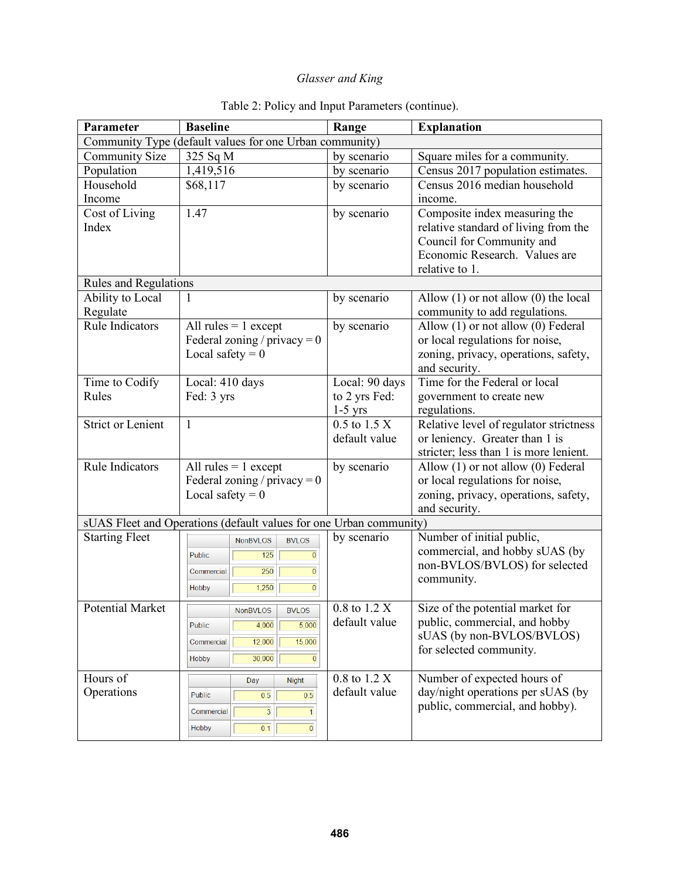| Parameter                                                          | <b>Baseline</b>                                  | Range                         | <b>Explanation</b>                                     |  |  |  |  |
|--------------------------------------------------------------------|--------------------------------------------------|-------------------------------|--------------------------------------------------------|--|--|--|--|
| Community Type (default values for one Urban community)            |                                                  |                               |                                                        |  |  |  |  |
| <b>Community Size</b>                                              | 325 Sq M                                         | by scenario                   | Square miles for a community.                          |  |  |  |  |
| Population                                                         | 1,419,516                                        | by scenario                   | Census 2017 population estimates.                      |  |  |  |  |
| Household                                                          | \$68,117                                         | by scenario                   | Census 2016 median household                           |  |  |  |  |
| Income                                                             |                                                  |                               | income.                                                |  |  |  |  |
| Cost of Living                                                     | 1.47                                             | by scenario                   | Composite index measuring the                          |  |  |  |  |
| Index                                                              |                                                  |                               | relative standard of living from the                   |  |  |  |  |
|                                                                    |                                                  |                               | Council for Community and                              |  |  |  |  |
|                                                                    |                                                  |                               | Economic Research. Values are                          |  |  |  |  |
|                                                                    |                                                  |                               | relative to 1.                                         |  |  |  |  |
| Rules and Regulations                                              |                                                  |                               |                                                        |  |  |  |  |
| Ability to Local                                                   |                                                  | by scenario                   | Allow $(1)$ or not allow $(0)$ the local               |  |  |  |  |
| Regulate                                                           |                                                  |                               | community to add regulations.                          |  |  |  |  |
| <b>Rule Indicators</b>                                             | All rules $= 1$ except                           | by scenario                   | Allow (1) or not allow (0) Federal                     |  |  |  |  |
|                                                                    | Federal zoning / privacy = $0$                   |                               | or local regulations for noise,                        |  |  |  |  |
|                                                                    | Local safety = $0$                               |                               | zoning, privacy, operations, safety,                   |  |  |  |  |
|                                                                    |                                                  |                               | and security.                                          |  |  |  |  |
| Time to Codify                                                     | Local: 410 days                                  | Local: 90 days                | Time for the Federal or local                          |  |  |  |  |
| Rules                                                              | Fed: 3 yrs                                       | to 2 yrs Fed:                 | government to create new                               |  |  |  |  |
| <b>Strict or Lenient</b>                                           | $\mathbf{1}$                                     | $1-5$ yrs<br>$0.5$ to $1.5$ X | regulations.<br>Relative level of regulator strictness |  |  |  |  |
|                                                                    |                                                  | default value                 | or leniency. Greater than 1 is                         |  |  |  |  |
|                                                                    |                                                  |                               | stricter; less than 1 is more lenient.                 |  |  |  |  |
| <b>Rule Indicators</b>                                             | All rules $= 1$ except                           | by scenario                   | Allow (1) or not allow (0) Federal                     |  |  |  |  |
|                                                                    | Federal zoning / privacy = $0$                   |                               | or local regulations for noise,                        |  |  |  |  |
|                                                                    | Local safety = $0$                               |                               | zoning, privacy, operations, safety,                   |  |  |  |  |
|                                                                    |                                                  |                               | and security.                                          |  |  |  |  |
| sUAS Fleet and Operations (default values for one Urban community) |                                                  |                               |                                                        |  |  |  |  |
| <b>Starting Fleet</b>                                              | <b>NonBVLOS</b><br><b>BVLOS</b>                  | by scenario                   | Number of initial public,                              |  |  |  |  |
|                                                                    | 125<br>$\overline{0}$<br><b>Public</b>           |                               | commercial, and hobby sUAS (by                         |  |  |  |  |
|                                                                    | $\overline{250}$<br>$\overline{0}$<br>Commercial |                               | non-BVLOS/BVLOS) for selected                          |  |  |  |  |
|                                                                    |                                                  |                               | community.                                             |  |  |  |  |
|                                                                    | $\overline{0}$<br>1,250<br>Hobby                 |                               |                                                        |  |  |  |  |
| <b>Potential Market</b>                                            | <b>BVLOS</b><br><b>NonBVLOS</b>                  | 0.8 to 1.2 X                  | Size of the potential market for                       |  |  |  |  |
|                                                                    | 5,000<br>4,000<br><b>Public</b>                  | default value                 | public, commercial, and hobby                          |  |  |  |  |
|                                                                    | 15,000<br>12,000<br>Commercial                   |                               | sUAS (by non-BVLOS/BVLOS)                              |  |  |  |  |
|                                                                    | 30,000<br>$\overline{0}$<br>Hobby                |                               | for selected community.                                |  |  |  |  |
|                                                                    |                                                  |                               |                                                        |  |  |  |  |
| Hours of                                                           | <b>Night</b><br>Day                              | 0.8 to 1.2 X                  | Number of expected hours of                            |  |  |  |  |
| Operations                                                         | 0.5<br>0.5<br><b>Public</b>                      | default value                 | day/night operations per sUAS (by                      |  |  |  |  |
|                                                                    | $\overline{3}$<br>Commercial<br>1                |                               | public, commercial, and hobby).                        |  |  |  |  |
|                                                                    | 0.1<br>$\mathbf 0$<br><b>Hobby</b>               |                               |                                                        |  |  |  |  |
|                                                                    |                                                  |                               |                                                        |  |  |  |  |

# Table 2: Policy and Input Parameters (continue).